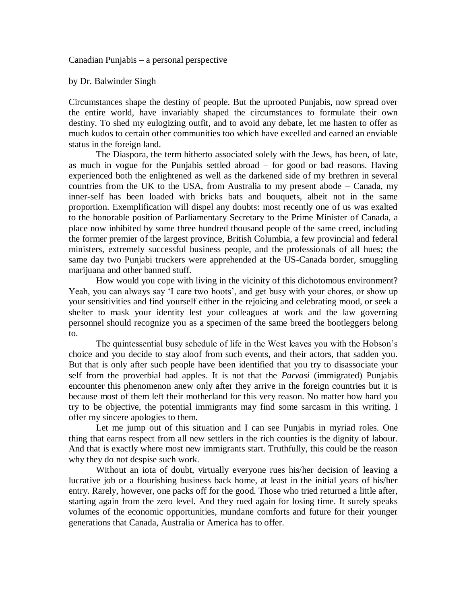Canadian Punjabis – a personal perspective

by Dr. Balwinder Singh

Circumstances shape the destiny of people. But the uprooted Punjabis, now spread over the entire world, have invariably shaped the circumstances to formulate their own destiny. To shed my eulogizing outfit, and to avoid any debate, let me hasten to offer as much kudos to certain other communities too which have excelled and earned an enviable status in the foreign land.

The Diaspora, the term hitherto associated solely with the Jews, has been, of late, as much in vogue for the Punjabis settled abroad – for good or bad reasons. Having experienced both the enlightened as well as the darkened side of my brethren in several countries from the UK to the USA, from Australia to my present abode – Canada, my inner-self has been loaded with bricks bats and bouquets, albeit not in the same proportion. Exemplification will dispel any doubts: most recently one of us was exalted to the honorable position of Parliamentary Secretary to the Prime Minister of Canada, a place now inhibited by some three hundred thousand people of the same creed, including the former premier of the largest province, British Columbia, a few provincial and federal ministers, extremely successful business people, and the professionals of all hues; the same day two Punjabi truckers were apprehended at the US-Canada border, smuggling marijuana and other banned stuff.

How would you cope with living in the vicinity of this dichotomous environment? Yeah, you can always say 'I care two hoots', and get busy with your chores, or show up your sensitivities and find yourself either in the rejoicing and celebrating mood, or seek a shelter to mask your identity lest your colleagues at work and the law governing personnel should recognize you as a specimen of the same breed the bootleggers belong to.

The quintessential busy schedule of life in the West leaves you with the Hobson's choice and you decide to stay aloof from such events, and their actors, that sadden you. But that is only after such people have been identified that you try to disassociate your self from the proverbial bad apples. It is not that the *Parvasi* (immigrated) Punjabis encounter this phenomenon anew only after they arrive in the foreign countries but it is because most of them left their motherland for this very reason. No matter how hard you try to be objective, the potential immigrants may find some sarcasm in this writing. I offer my sincere apologies to them.

Let me jump out of this situation and I can see Punjabis in myriad roles. One thing that earns respect from all new settlers in the rich counties is the dignity of labour. And that is exactly where most new immigrants start. Truthfully, this could be the reason why they do not despise such work.

Without an iota of doubt, virtually everyone rues his/her decision of leaving a lucrative job or a flourishing business back home, at least in the initial years of his/her entry. Rarely, however, one packs off for the good. Those who tried returned a little after, starting again from the zero level. And they rued again for losing time. It surely speaks volumes of the economic opportunities, mundane comforts and future for their younger generations that Canada, Australia or America has to offer.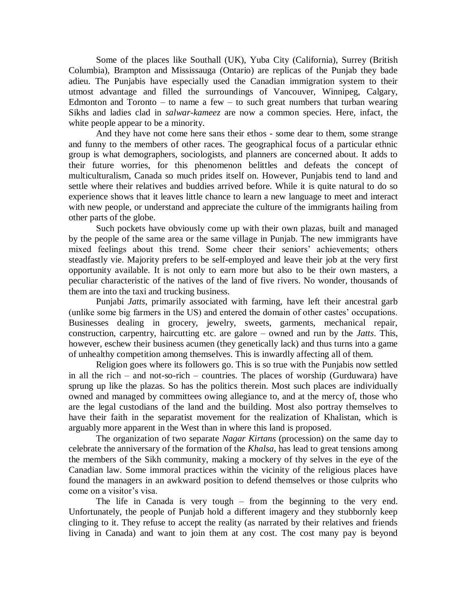Some of the places like Southall (UK), Yuba City (California), Surrey (British Columbia), Brampton and Mississauga (Ontario) are replicas of the Punjab they bade adieu. The Punjabis have especially used the Canadian immigration system to their utmost advantage and filled the surroundings of Vancouver, Winnipeg, Calgary, Edmonton and Toronto – to name a few – to such great numbers that turban wearing Sikhs and ladies clad in *salwar-kameez* are now a common species. Here, infact, the white people appear to be a minority.

And they have not come here sans their ethos - some dear to them, some strange and funny to the members of other races. The geographical focus of a particular ethnic group is what demographers, sociologists, and planners are concerned about. It adds to their future worries, for this phenomenon belittles and defeats the concept of multiculturalism, Canada so much prides itself on. However, Punjabis tend to land and settle where their relatives and buddies arrived before. While it is quite natural to do so experience shows that it leaves little chance to learn a new language to meet and interact with new people, or understand and appreciate the culture of the immigrants hailing from other parts of the globe.

Such pockets have obviously come up with their own plazas, built and managed by the people of the same area or the same village in Punjab. The new immigrants have mixed feelings about this trend. Some cheer their seniors' achievements; others steadfastly vie. Majority prefers to be self-employed and leave their job at the very first opportunity available. It is not only to earn more but also to be their own masters, a peculiar characteristic of the natives of the land of five rivers. No wonder, thousands of them are into the taxi and trucking business.

Punjabi *Jatts*, primarily associated with farming, have left their ancestral garb (unlike some big farmers in the US) and entered the domain of other castes' occupations. Businesses dealing in grocery, jewelry, sweets, garments, mechanical repair, construction, carpentry, haircutting etc. are galore – owned and run by the *Jatts*. This, however, eschew their business acumen (they genetically lack) and thus turns into a game of unhealthy competition among themselves. This is inwardly affecting all of them.

Religion goes where its followers go. This is so true with the Punjabis now settled in all the rich – and not-so-rich – countries. The places of worship (Gurduwara) have sprung up like the plazas. So has the politics therein. Most such places are individually owned and managed by committees owing allegiance to, and at the mercy of, those who are the legal custodians of the land and the building. Most also portray themselves to have their faith in the separatist movement for the realization of Khalistan, which is arguably more apparent in the West than in where this land is proposed.

The organization of two separate *Nagar Kirtans* (procession) on the same day to celebrate the anniversary of the formation of the *Khalsa*, has lead to great tensions among the members of the Sikh community, making a mockery of thy selves in the eye of the Canadian law. Some immoral practices within the vicinity of the religious places have found the managers in an awkward position to defend themselves or those culprits who come on a visitor's visa.

The life in Canada is very tough – from the beginning to the very end. Unfortunately, the people of Punjab hold a different imagery and they stubbornly keep clinging to it. They refuse to accept the reality (as narrated by their relatives and friends living in Canada) and want to join them at any cost. The cost many pay is beyond